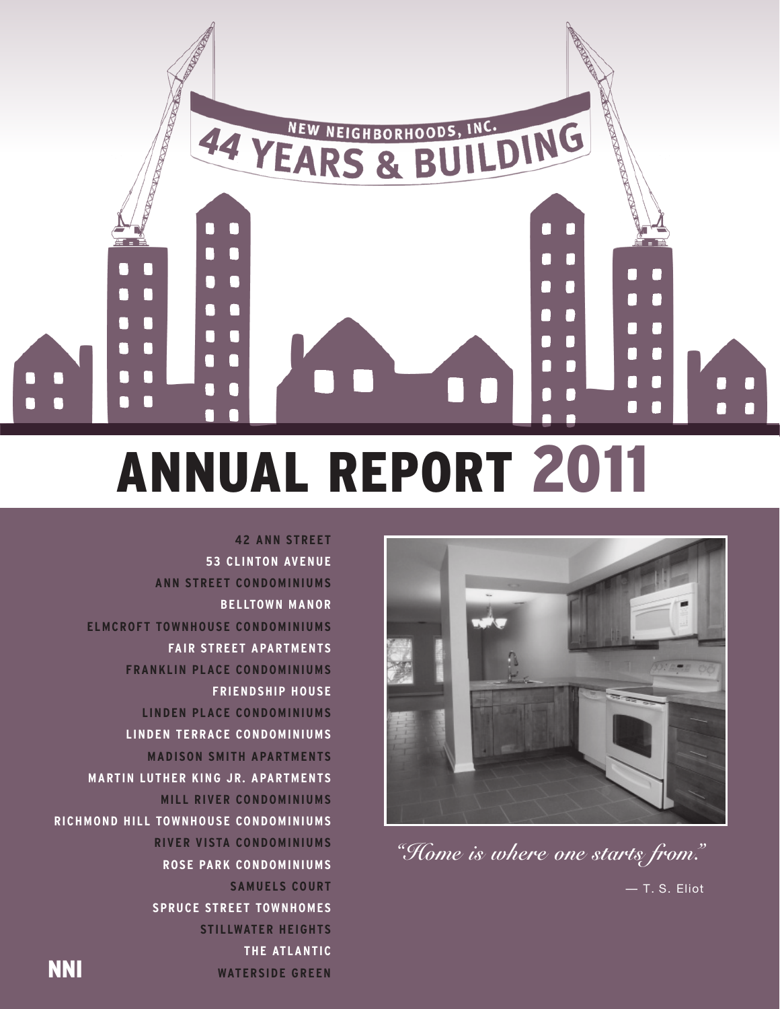



*"Home is where one starts from. "*

— T. S. Eliot

**42 ANN STREET 53 CLINTON AVENUE ANN STREET CONDOMINIUMS BELLTOWN MANOR ELMCROFT TOWNHOUSE CONDOMINIUMS FAIR STREET APARTMENTS FRANKLIN PLACE CONDOMINIUMS FRIENDSHIP HOUSE LINDEN PLACE CONDOMINIUMS LINDEN TERRACE CONDOMINIUMS MADISON SMITH APARTMENTS MARTIN LUTHER KING JR. APARTMENTS MILL RIVER CONDOMINIUMS RICHMOND HILL TOWNHOUSE CONDOMINIUMS RIVER VISTA CONDOMINIUMS ROSE PARK CONDOMINIUMS SAMUELS COURT SPRUCE STREET TOWNHOMES STILLWATER HEIGHTS THE ATLANTIC WATERSIDE GREEN**

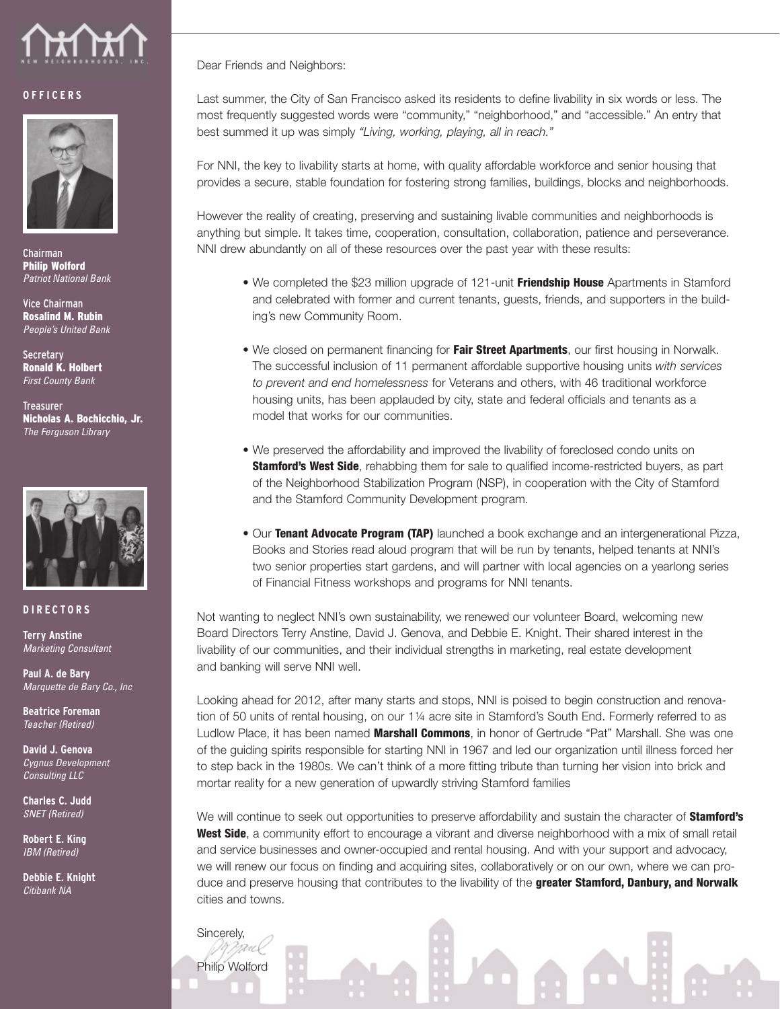

## **O F F I C E R S**



Chairman Philip Wolford *Patriot National Bank*

Vice Chairman Rosalind M. Rubin *People's United Bank*

**Secretary** Ronald K. Holbert *First County Bank*

**Treasurer** Nicholas A. Bochicchio, Jr. *The Ferguson Library*



## **D I R E C T O R S**

**Terry Anstine** *Marketing Consultant*

**Paul A. de Bary** *Marquette de Bary Co., Inc*

**Beatrice Foreman** *Teacher (Retired)*

**David J. Genova** *Cygnus Development Consulting LLC*

**Charles C. Judd** *SNET (Retired)*

**Robert E. King** *IBM (Retired)*

**Debbie E. Knight** *Citibank NA*

Sincerely,

Philip Wolford

Dear Friends and Neighbors:

Last summer, the City of San Francisco asked its residents to define livability in six words or less. The most frequently suggested words were "community," "neighborhood," and "accessible." An entry that best summed it up was simply *"Living, working, playing, all in reach."*

For NNI, the key to livability starts at home, with quality affordable workforce and senior housing that provides a secure, stable foundation for fostering strong families, buildings, blocks and neighborhoods.

However the reality of creating, preserving and sustaining livable communities and neighborhoods is anything but simple. It takes time, cooperation, consultation, collaboration, patience and perseverance. NNI drew abundantly on all of these resources over the past year with these results:

- We completed the \$23 million upgrade of 121-unit **Friendship House** Apartments in Stamford and celebrated with former and current tenants, guests, friends, and supporters in the building's new Community Room.
- We closed on permanent financing for Fair Street Apartments, our first housing in Norwalk. The successful inclusion of 11 permanent affordable supportive housing units *with services to prevent and end homelessness* for Veterans and others, with 46 traditional workforce housing units, has been applauded by city, state and federal officials and tenants as a model that works for our communities.
- We preserved the affordability and improved the livability of foreclosed condo units on **Stamford's West Side**, rehabbing them for sale to qualified income-restricted buyers, as part of the Neighborhood Stabilization Program (NSP), in cooperation with the City of Stamford and the Stamford Community Development program.
- Our Tenant Advocate Program (TAP) launched a book exchange and an intergenerational Pizza, Books and Stories read aloud program that will be run by tenants, helped tenants at NNI's two senior properties start gardens, and will partner with local agencies on a yearlong series of Financial Fitness workshops and programs for NNI tenants.

Not wanting to neglect NNI's own sustainability, we renewed our volunteer Board, welcoming new Board Directors Terry Anstine, David J. Genova, and Debbie E. Knight. Their shared interest in the livability of our communities, and their individual strengths in marketing, real estate development and banking will serve NNI well.

Looking ahead for 2012, after many starts and stops, NNI is poised to begin construction and renovation of 50 units of rental housing, on our 1¼ acre site in Stamford's South End. Formerly referred to as Ludlow Place, it has been named **Marshall Commons**, in honor of Gertrude "Pat" Marshall. She was one of the guiding spirits responsible for starting NNI in 1967 and led our organization until illness forced her to step back in the 1980s. We can't think of a more fitting tribute than turning her vision into brick and mortar reality for a new generation of upwardly striving Stamford families

We will continue to seek out opportunities to preserve affordability and sustain the character of **Stamford's** West Side, a community effort to encourage a vibrant and diverse neighborhood with a mix of small retail and service businesses and owner-occupied and rental housing. And with your support and advocacy, we will renew our focus on finding and acquiring sites, collaboratively or on our own, where we can produce and preserve housing that contributes to the livability of the greater Stamford, Danbury, and Norwalk cities and towns.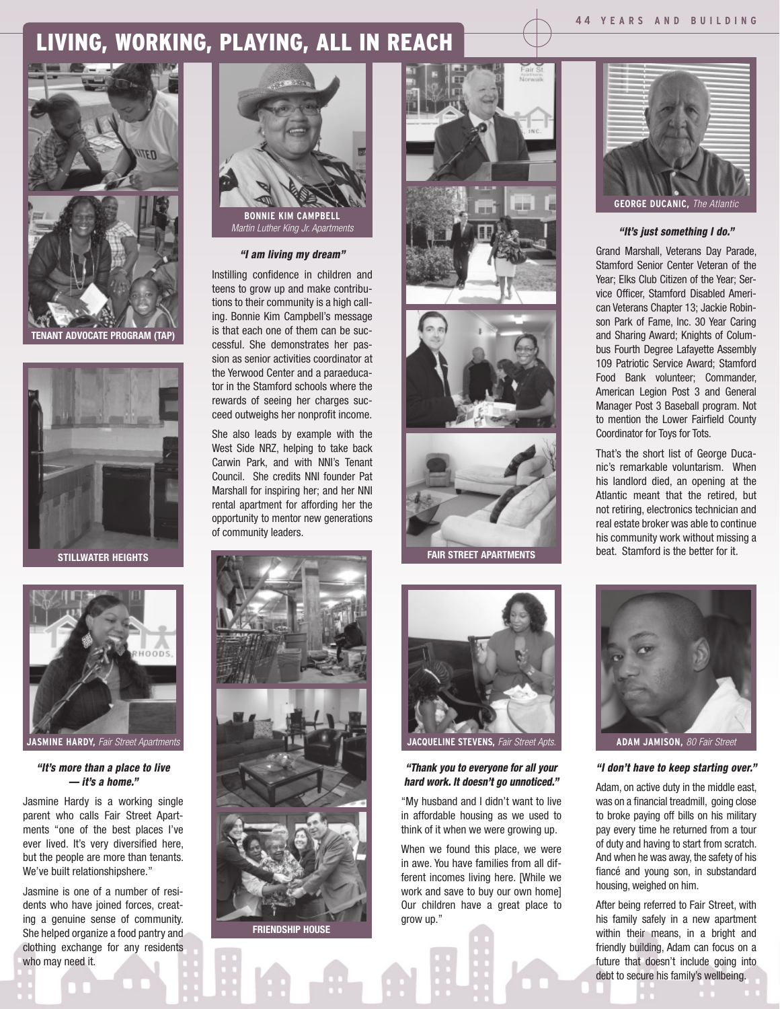# LIVING, WORKING, PLAYING, ALL IN REACH



**TENANT ADVOCATE PROGRAM (TAP)**



**STILLWATER HEIGHTS**



*"It's more than a place to live — it's a home."* 

Jasmine Hardy is a working single parent who calls Fair Street Apartments "one of the best places I've ever lived. It's very diversified here, but the people are more than tenants. We've built relationshipshere."

Jasmine is one of a number of residents who have joined forces, creating a genuine sense of community. She helped organize a food pantry and clothing exchange for any residents who may need it.



*"I am living my dream"* 

Instilling confidence in children and teens to grow up and make contributions to their community is a high calling. Bonnie Kim Campbell's message is that each one of them can be successful. She demonstrates her passion as senior activities coordinator at the Yerwood Center and a paraeducator in the Stamford schools where the rewards of seeing her charges succeed outweighs her nonprofit income.

She also leads by example with the West Side NRZ, helping to take back Carwin Park, and with NNI's Tenant Council. She credits NNI founder Pat Marshall for inspiring her; and her NNI rental apartment for affording her the opportunity to mentor new generations of community leaders.







**FAIR STREET APARTMENTS**

**JACQUELINE STEVENS,** *Fair Street Apts.*

#### *"Thank you to everyone for all your hard work. It doesn't go unnoticed."*

"My husband and I didn't want to live in affordable housing as we used to think of it when we were growing up.

When we found this place, we were in awe. You have families from all different incomes living here. [While we work and save to buy our own home] Our children have a great place to grow up."



## *"It's just something I do."*

Grand Marshall, Veterans Day Parade, Stamford Senior Center Veteran of the Year; Elks Club Citizen of the Year; Service Officer, Stamford Disabled American Veterans Chapter 13; Jackie Robinson Park of Fame, Inc. 30 Year Caring and Sharing Award; Knights of Columbus Fourth Degree Lafayette Assembly 109 Patriotic Service Award; Stamford Food Bank volunteer; Commander, American Legion Post 3 and General Manager Post 3 Baseball program. Not to mention the Lower Fairfield County Coordinator for Toys for Tots.

That's the short list of George Ducanic's remarkable voluntarism. When his landlord died, an opening at the Atlantic meant that the retired, but not retiring, electronics technician and real estate broker was able to continue his community work without missing a beat. Stamford is the better for it.



#### *"I don't have to keep starting over."*

Adam, on active duty in the middle east, was on a financial treadmill, going close to broke paying off bills on his military pay every time he returned from a tour of duty and having to start from scratch. And when he was away, the safety of his fiancé and young son, in substandard housing, weighed on him.

After being referred to Fair Street, with his family safely in a new apartment within their means, in a bright and friendly building, Adam can focus on a future that doesn't include going into debt to secure his family's wellbeing.

### **4 4 y e a r s a n d b u i l d i n g**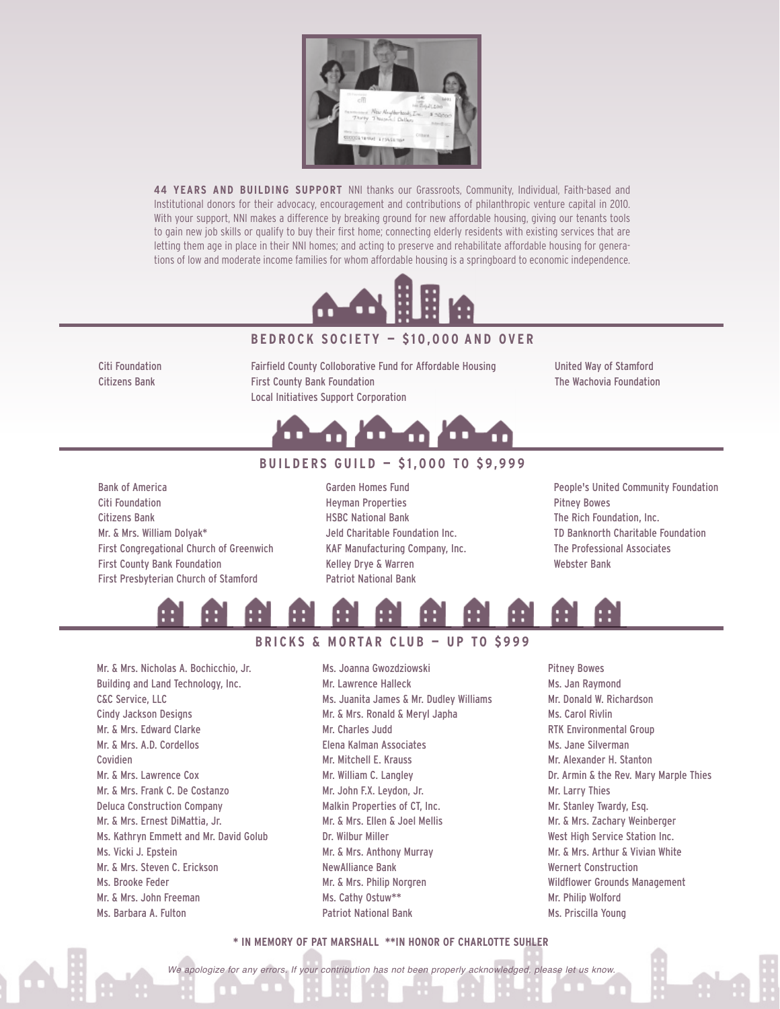

**44 YEARS AND BUILDING SUPPORT** NNI thanks our Grassroots, Community, Individual, Faith-based and Institutional donors for their advocacy, encouragement and contributions of philanthropic venture capital in 2010. With your support, NNI makes a difference by breaking ground for new affordable housing, giving our tenants tools to gain new job skills or qualify to buy their first home; connecting elderly residents with existing services that are letting them age in place in their NNI homes; and acting to preserve and rehabilitate affordable housing for generations of low and moderate income families for whom affordable housing is a springboard to economic independence.



# **B E D R O C K S O C I E T Y — \$ 1 0 , 0 0 0 A N D O V E R**

Citi Foundation Citizens Bank

Fairfield County Colloborative Fund for Affordable Housing First County Bank Foundation Local Initiatives Support Corporation

United Way of Stamford The Wachovia Foundation



# **B U I L D E R S G U I L D — \$ 1 , 0 0 0 T O \$ 9,9 9 9**

Bank of America Citi Foundation Citizens Bank Mr. & Mrs. William Dolyak\* First Congregational Church of Greenwich First County Bank Foundation First Presbyterian Church of Stamford

Garden Homes Fund Heyman Properties HSBC National Bank Jeld Charitable Foundation Inc. KAF Manufacturing Company, Inc. Kelley Drye & Warren Patriot National Bank

People's United Community Foundation Pitney Bowes The Rich Foundation, Inc. TD Banknorth Charitable Foundation The Professional Associates Webster Bank



## **BRICKS & MORTAR CLUB - UP TO \$999**

Mr. & Mrs. Nicholas A. Bochicchio, Jr. Building and Land Technology, Inc. C&C Service, LLC Cindy Jackson Designs Mr. & Mrs. Edward Clarke Mr. & Mrs. A.D. Cordellos Covidien Mr. & Mrs. Lawrence Cox Mr. & Mrs. Frank C. De Costanzo Deluca Construction Company Mr. & Mrs. Ernest DiMattia, Jr. Ms. Kathryn Emmett and Mr. David Golub Ms. Vicki J. Epstein Mr. & Mrs. Steven C. Erickson Ms. Brooke Feder Mr. & Mrs. John Freeman Ms. Barbara A. Fulton

Ms. Joanna Gwozdziowski Mr. Lawrence Halleck Ms. Juanita James & Mr. Dudley Williams Mr. & Mrs. Ronald & Meryl Japha Mr. Charles Judd Elena Kalman Associates Mr. Mitchell E. Krauss Mr. William C. Langley Mr. John F.X. Leydon, Jr. Malkin Properties of CT, Inc. Mr. & Mrs. Ellen & Joel Mellis Dr. Wilbur Miller Mr. & Mrs. Anthony Murray NewAlliance Bank Mr. & Mrs. Philip Norgren Ms. Cathy Ostuw\*\* Patriot National Bank

Pitney Bowes Ms. Jan Raymond Mr. Donald W. Richardson Ms. Carol Rivlin RTK Environmental Group Ms. Jane Silverman Mr. Alexander H. Stanton Dr. Armin & the Rev. Mary Marple Thies Mr. Larry Thies Mr. Stanley Twardy, Esq. Mr. & Mrs. Zachary Weinberger West High Service Station Inc. Mr. & Mrs. Arthur & Vivian White Wernert Construction Wildflower Grounds Management Mr. Philip Wolford Ms. Priscilla Young

#### **\* IN MEMORY OF PAT MARSHALL \*\*IN HONOR OF CHARLOTTE SUHLER**

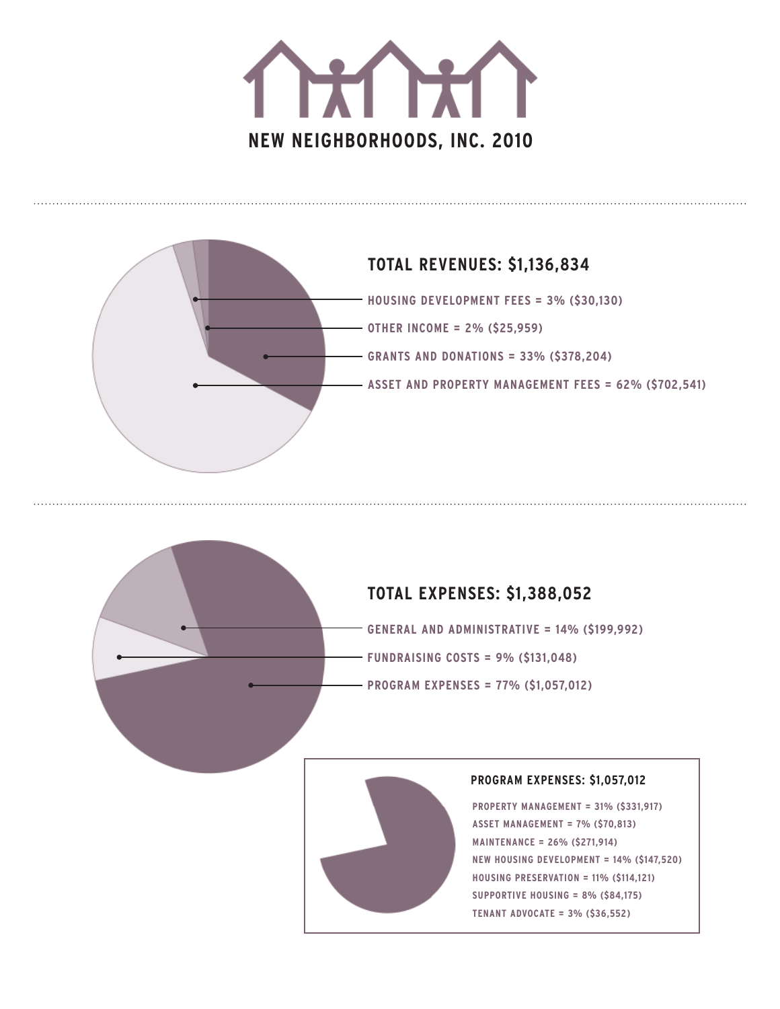





**GENERAL AND ADMINISTRATIVE = 14% (\$199,992)**

**FUNDRAISING COSTS = 9% (\$131,048)**

**PROGRAM EXPENSES = 77% (\$1,057,012)**



# **PROGRAM EXPENSES: \$1,057,012**

**PROPERTY MANAGEMENT = 31% (\$331,917) ASSET MANAGEMENT = 7% (\$70,813) MAINTENANCE = 26% (\$271,914) NEW HOUSING DEVELOPMENT = 14% (\$147,520) HOUSING PRESERVATION = 11% (\$114,121) SUPPORTIVE HOUSING = 8% (\$84,175) TENANT ADVOCATE = 3% (\$36,552)**